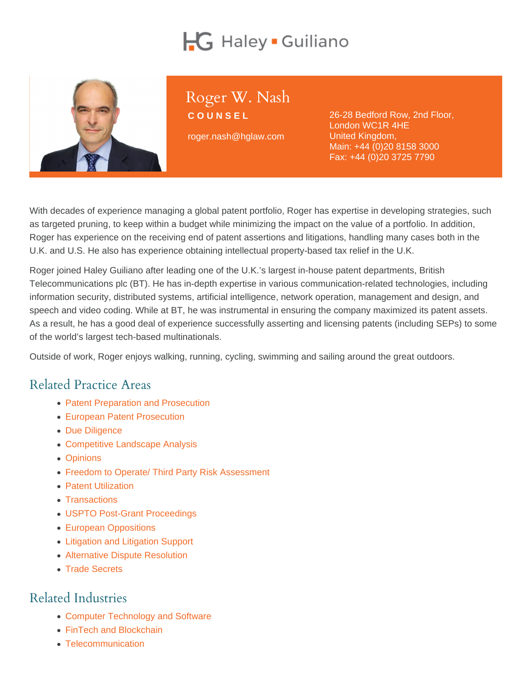# Roger W. Nash

COUNSEL

roger.nash@hglaw.com

26-28 Bedford Row, 2nd Floor, London WC1R 4HE United Kingdom, Main: [+44 \(0\)20 8158 3000](tel:+1-+44 (0)20 8158 3000) Fax: +44 (0)20 3725 7790

With decades of experience managing a global patent portfolio, Roger has expertise in developing strategies, such as targeted pruning, to keep within a budget while minimizing the impact on the value of a portfolio. In addition, Roger has experience on the receiving end of patent assertions and litigations, handling many cases both in the U.K. and U.S. He also has experience obtaining intellectual property-based tax relief in the U.K.

Roger joined Haley Guiliano after leading one of the U.K.'s largest in-house patent departments, British Telecommunications plc (BT). He has in-depth expertise in various communication-related technologies, including information security, distributed systems, artificial intelligence, network operation, management and design, and speech and video coding. While at BT, he was instrumental in ensuring the company maximized its patent assets. As a result, he has a good deal of experience successfully asserting and licensing patents (including SEPs) to some of the world's largest tech-based multinationals.

Outside of work, Roger enjoys walking, running, cycling, swimming and sailing around the great outdoors.

# Related Practice Areas

- [Patent Preparation and Prosecution](https://www.hglaw.com/practice-areas/patents/patent-preparation-prosecution/)
- [European Patent Prosecution](https://www.hglaw.com/practice-areas/patents/european-patent-prosecution/)
- [Due Diligence](https://www.hglaw.com/practice-areas/strategic-counseling/due-diligence/)
- [Competitive Landscape Analysis](https://www.hglaw.com/practice-areas/strategic-counseling/competitive-landscape-analysis/)
- [Opinions](https://www.hglaw.com/practice-areas/strategic-counseling/opinions/)
- [Freedom to Operate/ Third Party Risk Assessment](https://www.hglaw.com/practice-areas/strategic-counseling/freedom-to-operate-third-party-risk-assessment/)
- [Patent Utilization](https://www.hglaw.com/practice-areas/strategic-counseling/patent-utilization/)
- [Transactions](https://www.hglaw.com/practice-areas/strategic-counseling/transactions/)
- [USPTO Post-Grant Proceedings](https://www.hglaw.com/practice-areas/contested-proceedings/uspto-post-grant-proceedings/)
- [European Oppositions](https://www.hglaw.com/practice-areas/contested-proceedings/european-oppositions/)
- [Litigation and Litigation Support](https://www.hglaw.com/practice-areas/contested-proceedings/litigation-support/)
- [Alternative Dispute Resolution](https://www.hglaw.com/practice-areas/contested-proceedings/alternative-dispute-resolution/)
- [Trade Secrets](https://www.hglaw.com/practice-areas/trade-secrets/)

#### Related Industries

- [Computer Technology and Software](https://www.hglaw.com/industries/computer-technology-software/)
- [FinTech and Blockchain](https://www.hglaw.com/industries/fintech-blockchain/)
- [Telecommunication](https://www.hglaw.com/industries/telecommunications/)